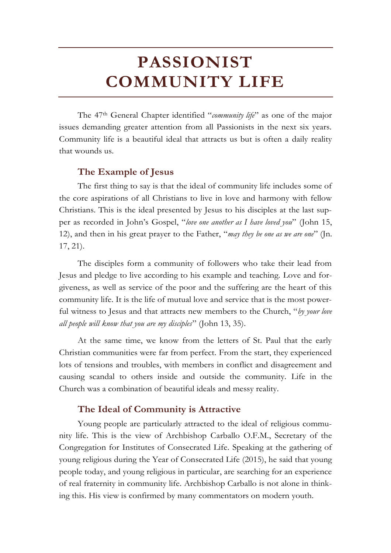The 47th General Chapter identified "*community life*" as one of the major issues demanding greater attention from all Passionists in the next six years. Community life is a beautiful ideal that attracts us but is often a daily reality that wounds us.

# **The Example of Jesus**

The first thing to say is that the ideal of community life includes some of the core aspirations of all Christians to live in love and harmony with fellow Christians. This is the ideal presented by Jesus to his disciples at the last supper as recorded in John's Gospel, "*love one another as I have loved you*" (John 15, 12), and then in his great prayer to the Father, "*may they be one as we are one*" (Jn. 17, 21).

The disciples form a community of followers who take their lead from Jesus and pledge to live according to his example and teaching. Love and forgiveness, as well as service of the poor and the suffering are the heart of this community life. It is the life of mutual love and service that is the most powerful witness to Jesus and that attracts new members to the Church, "*by your love all people will know that you are my disciples*" (John 13, 35).

At the same time, we know from the letters of St. Paul that the early Christian communities were far from perfect. From the start, they experienced lots of tensions and troubles, with members in conflict and disagreement and causing scandal to others inside and outside the community. Life in the Church was a combination of beautiful ideals and messy reality.

# **The Ideal of Community is Attractive**

Young people are particularly attracted to the ideal of religious community life. This is the view of Archbishop Carballo O.F.M., Secretary of the Congregation for Institutes of Consecrated Life. Speaking at the gathering of young religious during the Year of Consecrated Life (2015), he said that young people today, and young religious in particular, are searching for an experience of real fraternity in community life. Archbishop Carballo is not alone in thinking this. His view is confirmed by many commentators on modern youth.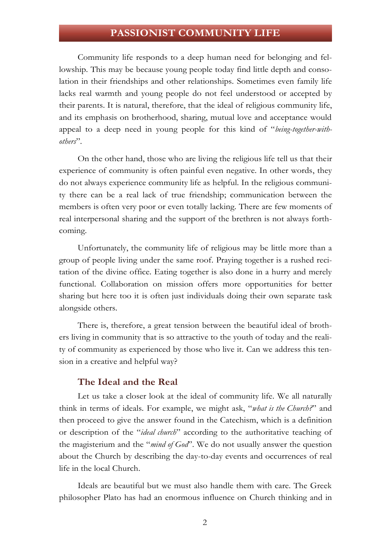Community life responds to a deep human need for belonging and fellowship. This may be because young people today find little depth and consolation in their friendships and other relationships. Sometimes even family life lacks real warmth and young people do not feel understood or accepted by their parents. It is natural, therefore, that the ideal of religious community life, and its emphasis on brotherhood, sharing, mutual love and acceptance would appeal to a deep need in young people for this kind of "*being-together-withothers*".

On the other hand, those who are living the religious life tell us that their experience of community is often painful even negative. In other words, they do not always experience community life as helpful. In the religious community there can be a real lack of true friendship; communication between the members is often very poor or even totally lacking. There are few moments of real interpersonal sharing and the support of the brethren is not always forthcoming.

Unfortunately, the community life of religious may be little more than a group of people living under the same roof. Praying together is a rushed recitation of the divine office. Eating together is also done in a hurry and merely functional. Collaboration on mission offers more opportunities for better sharing but here too it is often just individuals doing their own separate task alongside others.

There is, therefore, a great tension between the beautiful ideal of brothers living in community that is so attractive to the youth of today and the reality of community as experienced by those who live it. Can we address this tension in a creative and helpful way?

# **The Ideal and the Real**

Let us take a closer look at the ideal of community life. We all naturally think in terms of ideals. For example, we might ask, "*what is the Church?*" and then proceed to give the answer found in the Catechism, which is a definition or description of the "*ideal church*" according to the authoritative teaching of the magisterium and the "*mind of God*". We do not usually answer the question about the Church by describing the day-to-day events and occurrences of real life in the local Church.

Ideals are beautiful but we must also handle them with care. The Greek philosopher Plato has had an enormous influence on Church thinking and in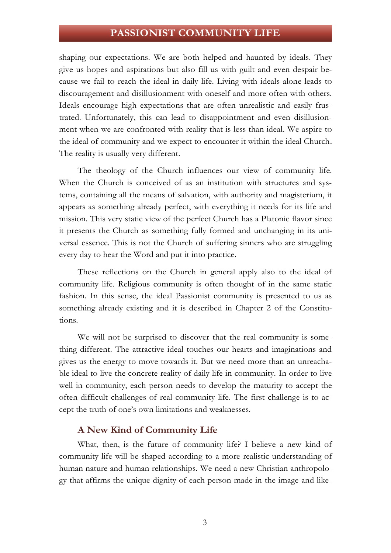shaping our expectations. We are both helped and haunted by ideals. They give us hopes and aspirations but also fill us with guilt and even despair because we fail to reach the ideal in daily life. Living with ideals alone leads to discouragement and disillusionment with oneself and more often with others. Ideals encourage high expectations that are often unrealistic and easily frustrated. Unfortunately, this can lead to disappointment and even disillusionment when we are confronted with reality that is less than ideal. We aspire to the ideal of community and we expect to encounter it within the ideal Church. The reality is usually very different.

The theology of the Church influences our view of community life. When the Church is conceived of as an institution with structures and systems, containing all the means of salvation, with authority and magisterium, it appears as something already perfect, with everything it needs for its life and mission. This very static view of the perfect Church has a Platonic flavor since it presents the Church as something fully formed and unchanging in its universal essence. This is not the Church of suffering sinners who are struggling every day to hear the Word and put it into practice.

These reflections on the Church in general apply also to the ideal of community life. Religious community is often thought of in the same static fashion. In this sense, the ideal Passionist community is presented to us as something already existing and it is described in Chapter 2 of the Constitutions.

We will not be surprised to discover that the real community is something different. The attractive ideal touches our hearts and imaginations and gives us the energy to move towards it. But we need more than an unreachable ideal to live the concrete reality of daily life in community. In order to live well in community, each person needs to develop the maturity to accept the often difficult challenges of real community life. The first challenge is to accept the truth of one's own limitations and weaknesses.

### **A New Kind of Community Life**

What, then, is the future of community life? I believe a new kind of community life will be shaped according to a more realistic understanding of human nature and human relationships. We need a new Christian anthropology that affirms the unique dignity of each person made in the image and like-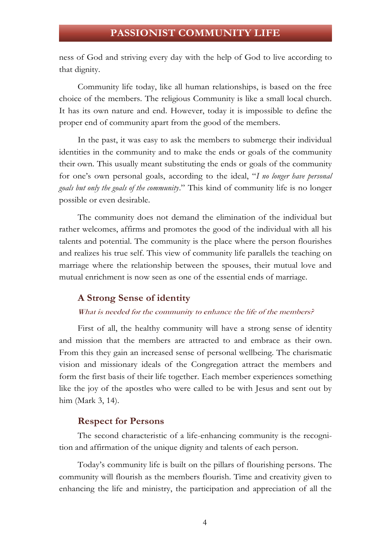ness of God and striving every day with the help of God to live according to that dignity.

Community life today, like all human relationships, is based on the free choice of the members. The religious Community is like a small local church. It has its own nature and end. However, today it is impossible to define the proper end of community apart from the good of the members.

In the past, it was easy to ask the members to submerge their individual identities in the community and to make the ends or goals of the community their own. This usually meant substituting the ends or goals of the community for one's own personal goals, according to the ideal, "*I no longer have personal goals but only the goals of the community*." This kind of community life is no longer possible or even desirable.

The community does not demand the elimination of the individual but rather welcomes, affirms and promotes the good of the individual with all his talents and potential. The community is the place where the person flourishes and realizes his true self. This view of community life parallels the teaching on marriage where the relationship between the spouses, their mutual love and mutual enrichment is now seen as one of the essential ends of marriage.

# **A Strong Sense of identity**

#### What is needed for the community to enhance the life of the members?

First of all, the healthy community will have a strong sense of identity and mission that the members are attracted to and embrace as their own. From this they gain an increased sense of personal wellbeing. The charismatic vision and missionary ideals of the Congregation attract the members and form the first basis of their life together. Each member experiences something like the joy of the apostles who were called to be with Jesus and sent out by him (Mark 3, 14).

### **Respect for Persons**

The second characteristic of a life-enhancing community is the recognition and affirmation of the unique dignity and talents of each person.

Today's community life is built on the pillars of flourishing persons. The community will flourish as the members flourish. Time and creativity given to enhancing the life and ministry, the participation and appreciation of all the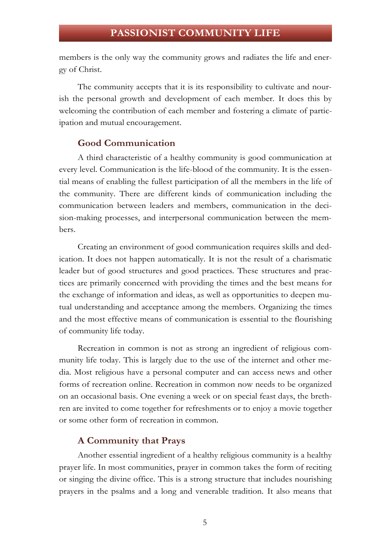members is the only way the community grows and radiates the life and energy of Christ.

The community accepts that it is its responsibility to cultivate and nourish the personal growth and development of each member. It does this by welcoming the contribution of each member and fostering a climate of participation and mutual encouragement.

### **Good Communication**

A third characteristic of a healthy community is good communication at every level. Communication is the life-blood of the community. It is the essential means of enabling the fullest participation of all the members in the life of the community. There are different kinds of communication including the communication between leaders and members, communication in the decision-making processes, and interpersonal communication between the members.

Creating an environment of good communication requires skills and dedication. It does not happen automatically. It is not the result of a charismatic leader but of good structures and good practices. These structures and practices are primarily concerned with providing the times and the best means for the exchange of information and ideas, as well as opportunities to deepen mutual understanding and acceptance among the members. Organizing the times and the most effective means of communication is essential to the flourishing of community life today.

Recreation in common is not as strong an ingredient of religious community life today. This is largely due to the use of the internet and other media. Most religious have a personal computer and can access news and other forms of recreation online. Recreation in common now needs to be organized on an occasional basis. One evening a week or on special feast days, the brethren are invited to come together for refreshments or to enjoy a movie together or some other form of recreation in common.

# **A Community that Prays**

Another essential ingredient of a healthy religious community is a healthy prayer life. In most communities, prayer in common takes the form of reciting or singing the divine office. This is a strong structure that includes nourishing prayers in the psalms and a long and venerable tradition. It also means that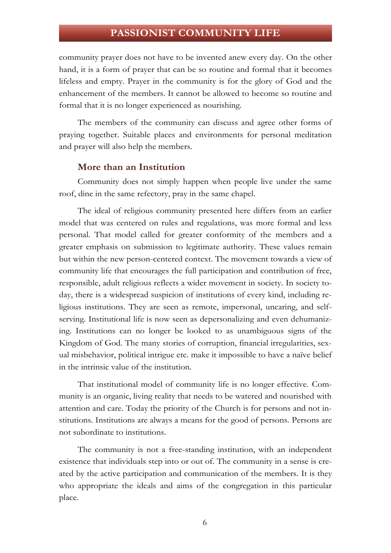community prayer does not have to be invented anew every day. On the other hand, it is a form of prayer that can be so routine and formal that it becomes lifeless and empty. Prayer in the community is for the glory of God and the enhancement of the members. It cannot be allowed to become so routine and formal that it is no longer experienced as nourishing.

The members of the community can discuss and agree other forms of praying together. Suitable places and environments for personal meditation and prayer will also help the members.

### **More than an Institution**

Community does not simply happen when people live under the same roof, dine in the same refectory, pray in the same chapel.

The ideal of religious community presented here differs from an earlier model that was centered on rules and regulations, was more formal and less personal. That model called for greater conformity of the members and a greater emphasis on submission to legitimate authority. These values remain but within the new person-centered context. The movement towards a view of community life that encourages the full participation and contribution of free, responsible, adult religious reflects a wider movement in society. In society today, there is a widespread suspicion of institutions of every kind, including religious institutions. They are seen as remote, impersonal, uncaring, and selfserving. Institutional life is now seen as depersonalizing and even dehumanizing. Institutions can no longer be looked to as unambiguous signs of the Kingdom of God. The many stories of corruption, financial irregularities, sexual misbehavior, political intrigue etc. make it impossible to have a naïve belief in the intrinsic value of the institution.

That institutional model of community life is no longer effective. Community is an organic, living reality that needs to be watered and nourished with attention and care. Today the priority of the Church is for persons and not institutions. Institutions are always a means for the good of persons. Persons are not subordinate to institutions.

The community is not a free-standing institution, with an independent existence that individuals step into or out of. The community in a sense is created by the active participation and communication of the members. It is they who appropriate the ideals and aims of the congregation in this particular place.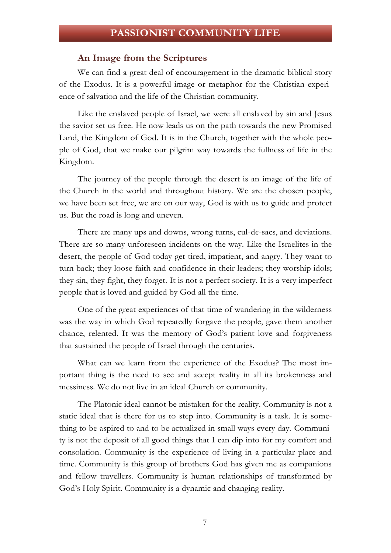### **An Image from the Scriptures**

We can find a great deal of encouragement in the dramatic biblical story of the Exodus. It is a powerful image or metaphor for the Christian experience of salvation and the life of the Christian community.

Like the enslaved people of Israel, we were all enslaved by sin and Jesus the savior set us free. He now leads us on the path towards the new Promised Land, the Kingdom of God. It is in the Church, together with the whole people of God, that we make our pilgrim way towards the fullness of life in the Kingdom.

The journey of the people through the desert is an image of the life of the Church in the world and throughout history. We are the chosen people, we have been set free, we are on our way, God is with us to guide and protect us. But the road is long and uneven.

There are many ups and downs, wrong turns, cul-de-sacs, and deviations. There are so many unforeseen incidents on the way. Like the Israelites in the desert, the people of God today get tired, impatient, and angry. They want to turn back; they loose faith and confidence in their leaders; they worship idols; they sin, they fight, they forget. It is not a perfect society. It is a very imperfect people that is loved and guided by God all the time.

One of the great experiences of that time of wandering in the wilderness was the way in which God repeatedly forgave the people, gave them another chance, relented. It was the memory of God's patient love and forgiveness that sustained the people of Israel through the centuries.

What can we learn from the experience of the Exodus? The most important thing is the need to see and accept reality in all its brokenness and messiness. We do not live in an ideal Church or community.

The Platonic ideal cannot be mistaken for the reality. Community is not a static ideal that is there for us to step into. Community is a task. It is something to be aspired to and to be actualized in small ways every day. Community is not the deposit of all good things that I can dip into for my comfort and consolation. Community is the experience of living in a particular place and time. Community is this group of brothers God has given me as companions and fellow travellers. Community is human relationships of transformed by God's Holy Spirit. Community is a dynamic and changing reality.